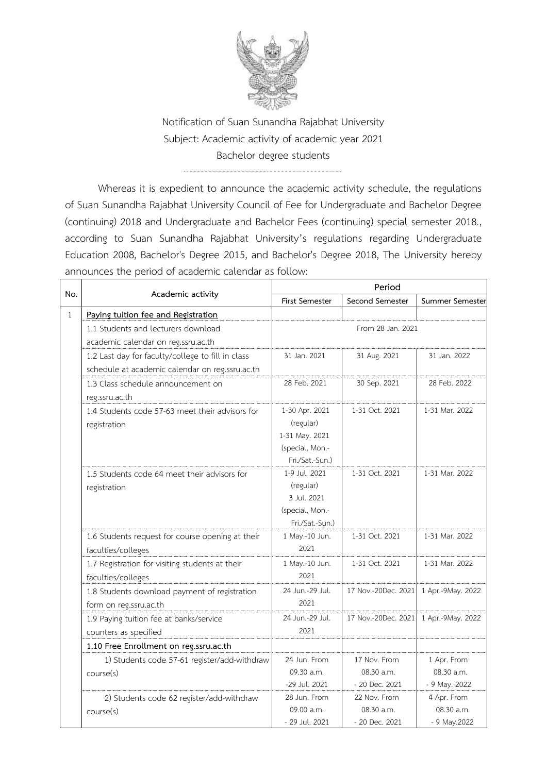

Notification of Suan Sunandha Rajabhat University Subject: Academic activity of academic year 2021 Bachelor degree students

Whereas it is expedient to announce the academic activity schedule, the regulations of Suan Sunandha Rajabhat University Council of Fee for Undergraduate and Bachelor Degree (continuing) 2018 and Undergraduate and Bachelor Fees (continuing) special semester 2018., according to Suan Sunandha Rajabhat University's regulations regarding Undergraduate Education 2008, Bachelor's Degree 2015, and Bachelor's Degree 2018, The University hereby announces the period of academic calendar as follow:

| No.          | Academic activity                                 | Period                |                     |                   |
|--------------|---------------------------------------------------|-----------------------|---------------------|-------------------|
|              |                                                   | <b>First Semester</b> | Second Semester     | Summer Semester   |
| $\mathbf{1}$ | Paying tuition fee and Registration               |                       |                     |                   |
|              | 1.1 Students and lecturers download               |                       | From 28 Jan. 2021   |                   |
|              | academic calendar on reg.ssru.ac.th               |                       |                     |                   |
|              | 1.2 Last day for faculty/college to fill in class | 31 Jan. 2021          | 31 Aug. 2021        | 31 Jan. 2022      |
|              | schedule at academic calendar on reg.ssru.ac.th   |                       |                     |                   |
|              | 1.3 Class schedule announcement on                | 28 Feb. 2021          | 30 Sep. 2021        | 28 Feb. 2022      |
|              | reg.ssru.ac.th                                    |                       |                     |                   |
|              | 1.4 Students code 57-63 meet their advisors for   | 1-30 Apr. 2021        | 1-31 Oct. 2021      | 1-31 Mar. 2022    |
|              | registration                                      | (regular)             |                     |                   |
|              |                                                   | 1-31 May. 2021        |                     |                   |
|              |                                                   | (special, Mon.-       |                     |                   |
|              |                                                   | Fri./Sat.-Sun.)       |                     |                   |
|              | 1.5 Students code 64 meet their advisors for      | 1-9 Jul. 2021         | 1-31 Oct. 2021      | 1-31 Mar. 2022    |
|              | registration                                      | (regular)             |                     |                   |
|              |                                                   | 3 Jul. 2021           |                     |                   |
|              |                                                   | (special, Mon.-       |                     |                   |
|              |                                                   | Fri./Sat.-Sun.)       |                     |                   |
|              | 1.6 Students request for course opening at their  | 1 May.-10 Jun.        | 1-31 Oct. 2021      | 1-31 Mar. 2022    |
|              | faculties/colleges                                | 2021                  |                     |                   |
|              | 1.7 Registration for visiting students at their   | 1 May.-10 Jun.        | 1-31 Oct. 2021      | 1-31 Mar. 2022    |
|              | faculties/colleges                                | 2021                  |                     |                   |
|              | 1.8 Students download payment of registration     | 24 Jun.-29 Jul.       | 17 Nov.-20Dec. 2021 | 1 Apr.-9May. 2022 |
|              | form on reg.ssru.ac.th                            | 2021                  |                     |                   |
|              | 1.9 Paying tuition fee at banks/service           | 24 Jun.-29 Jul.       | 17 Nov.-20Dec. 2021 | 1 Apr.-9May. 2022 |
|              | counters as specified                             | 2021                  |                     |                   |
|              | 1.10 Free Enrollment on reg.ssru.ac.th            |                       |                     |                   |
|              | 1) Students code 57-61 register/add-withdraw      | 24 Jun. From          | 17 Nov. From        | 1 Apr. From       |
|              | course(s)                                         | 09.30 a.m.            | 08.30 a.m.          | 08.30 a.m.        |
|              |                                                   | -29 Jul. 2021         | - 20 Dec. 2021      | - 9 May. 2022     |
|              | 2) Students code 62 register/add-withdraw         | 28 Jun. From          | 22 Nov. From        | 4 Apr. From       |
|              | course(s)                                         | 09.00 a.m.            | 08.30 a.m.          | 08.30 a.m.        |
|              |                                                   | - 29 Jul. 2021        | - 20 Dec. 2021      | - 9 May.2022      |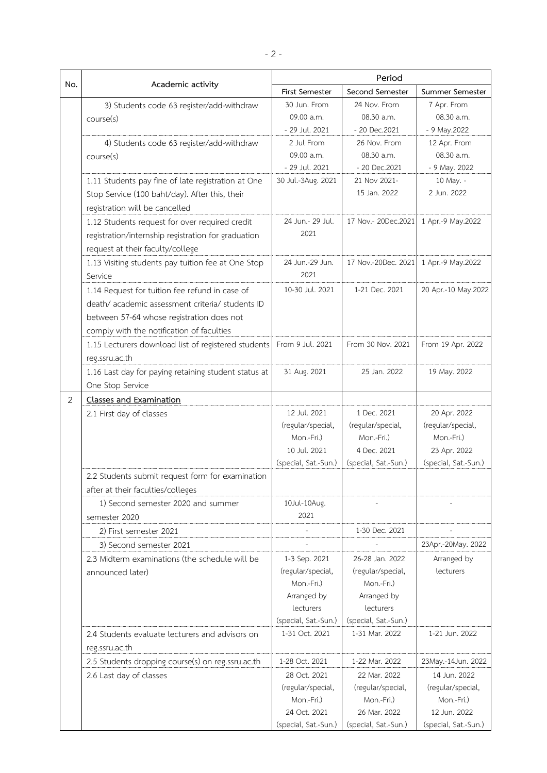| No. | Academic activity                                    | Period                          |                                 |                                   |
|-----|------------------------------------------------------|---------------------------------|---------------------------------|-----------------------------------|
|     |                                                      | First Semester                  | Second Semester                 | Summer Semester                   |
|     | 3) Students code 63 register/add-withdraw            | 30 Jun. From                    | 24 Nov. From                    | 7 Apr. From                       |
|     | course(s)                                            | 09.00 a.m.                      | 08.30 a.m.                      | 08.30 a.m.                        |
|     |                                                      | - 29 Jul. 2021                  | - 20 Dec.2021                   | - 9 May.2022                      |
|     | 4) Students code 63 register/add-withdraw            | 2 Jul From                      | 26 Nov. From                    | 12 Apr. From                      |
|     | course(s)                                            | 09.00 a.m.                      | 08.30 a.m.                      | 08.30 a.m.                        |
|     |                                                      | - 29 Jul. 2021                  | - 20 Dec.2021                   | - 9 May. 2022                     |
|     | 1.11 Students pay fine of late registration at One   | 30 Jul.-3Aug. 2021              | 21 Nov 2021-                    | 10 May. -                         |
|     | Stop Service (100 baht/day). After this, their       |                                 | 15 Jan. 2022                    | 2 Jun. 2022                       |
|     | registration will be cancelled                       |                                 |                                 |                                   |
|     | 1.12 Students request for over required credit       | 24 Jun.- 29 Jul.                | 17 Nov.- 20Dec.2021             | 1 Apr.-9 May.2022                 |
|     | registration/internship registration for graduation  | 2021                            |                                 |                                   |
|     | request at their faculty/college                     |                                 |                                 |                                   |
|     | 1.13 Visiting students pay tuition fee at One Stop   | 24 Jun.-29 Jun.                 | 17 Nov.-20Dec. 2021             | 1 Apr.-9 May.2022                 |
|     | Service                                              | 2021                            |                                 |                                   |
|     | 1.14 Request for tuition fee refund in case of       | 10-30 Jul. 2021                 | 1-21 Dec. 2021                  | 20 Apr.-10 May.2022               |
|     | death/academic assessment criteria/ students ID      |                                 |                                 |                                   |
|     | between 57-64 whose registration does not            |                                 |                                 |                                   |
|     | comply with the notification of faculties            |                                 |                                 |                                   |
|     | 1.15 Lecturers download list of registered students  | From 9 Jul. 2021                | From 30 Nov. 2021               | From 19 Apr. 2022                 |
|     | reg.ssru.ac.th                                       |                                 |                                 |                                   |
|     | 1.16 Last day for paying retaining student status at | 31 Aug. 2021                    | 25 Jan. 2022                    | 19 May. 2022                      |
|     | One Stop Service                                     |                                 |                                 |                                   |
| 2   | <b>Classes and Examination</b>                       |                                 |                                 |                                   |
|     |                                                      | 12 Jul. 2021                    | 1 Dec. 2021                     |                                   |
|     | 2.1 First day of classes                             | (regular/special,               | (regular/special,               | 20 Apr. 2022<br>(regular/special, |
|     |                                                      | Mon.-Fri.)                      | Mon.-Fri.)                      | Mon.-Fri.)                        |
|     |                                                      | 10 Jul. 2021                    | 4 Dec. 2021                     | 23 Apr. 2022                      |
|     |                                                      | (special, Sat.-Sun.)            | (special, Sat.-Sun.)            | (special, Sat.-Sun.)              |
|     | 2.2 Students submit request form for examination     |                                 |                                 |                                   |
|     | after at their faculties/colleges                    |                                 |                                 |                                   |
|     | 1) Second semester 2020 and summer                   | 10Jul-10Aug.                    |                                 |                                   |
|     | semester 2020                                        | 2021                            |                                 |                                   |
|     | 2) First semester 2021                               |                                 | 1-30 Dec. 2021                  |                                   |
|     |                                                      |                                 |                                 |                                   |
|     | 3) Second semester 2021                              |                                 |                                 | 23Apr.-20May. 2022                |
|     | 2.3 Midterm examinations (the schedule will be       | 1-3 Sep. 2021                   | 26-28 Jan. 2022                 | Arranged by                       |
|     | announced later)                                     | (regular/special,<br>Mon.-Fri.) | (regular/special,<br>Mon.-Fri.) | lecturers                         |
|     |                                                      | Arranged by                     | Arranged by                     |                                   |
|     |                                                      | lecturers                       | lecturers                       |                                   |
|     |                                                      | (special, Sat.-Sun.)            | (special, Sat.-Sun.)            |                                   |
|     | 2.4 Students evaluate lecturers and advisors on      | 1-31 Oct. 2021                  | 1-31 Mar. 2022                  | 1-21 Jun. 2022                    |
|     | reg.ssru.ac.th                                       |                                 |                                 |                                   |
|     |                                                      | 1-28 Oct. 2021                  | 1-22 Mar. 2022                  | 23May.-14Jun. 2022                |
|     | 2.5 Students dropping course(s) on reg.ssru.ac.th    | 28 Oct. 2021                    | 22 Mar. 2022                    | 14 Jun. 2022                      |
|     | 2.6 Last day of classes                              | (regular/special,               | (regular/special,               | (regular/special,                 |
|     |                                                      | Mon.-Fri.)                      | Mon.-Fri.)                      | Mon.-Fri.)                        |
|     |                                                      | 24 Oct. 2021                    | 26 Mar. 2022                    | 12 Jun. 2022                      |
|     |                                                      | (special, Sat.-Sun.)            | (special, Sat.-Sun.)            | (special, Sat.-Sun.)              |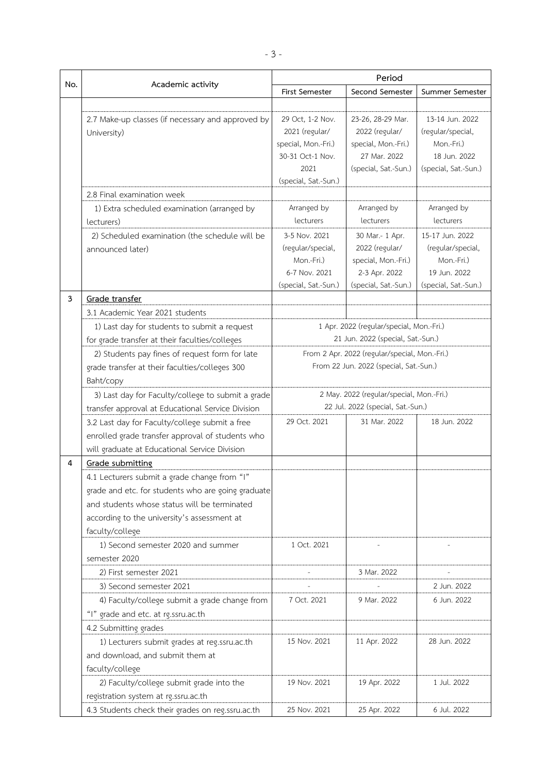| No. | Academic activity                                  | Period                                                                                  |                                                                               |                      |
|-----|----------------------------------------------------|-----------------------------------------------------------------------------------------|-------------------------------------------------------------------------------|----------------------|
|     |                                                    | First Semester                                                                          | Second Semester                                                               | Summer Semester      |
|     |                                                    |                                                                                         |                                                                               |                      |
|     | 2.7 Make-up classes (if necessary and approved by  | 29 Oct, 1-2 Nov.                                                                        | 23-26, 28-29 Mar.                                                             | 13-14 Jun. 2022      |
|     | University)                                        | 2021 (regular/                                                                          | 2022 (regular/                                                                | (regular/special,    |
|     |                                                    | special, Mon.-Fri.)                                                                     | special, Mon.-Fri.)                                                           | Mon.-Fri.)           |
|     |                                                    | 30-31 Oct-1 Nov.                                                                        | 27 Mar. 2022                                                                  | 18 Jun. 2022         |
|     |                                                    | 2021                                                                                    | (special, Sat.-Sun.)                                                          | (special, Sat.-Sun.) |
|     |                                                    | (special, Sat.-Sun.)                                                                    |                                                                               |                      |
|     | 2.8 Final examination week                         |                                                                                         |                                                                               |                      |
|     | 1) Extra scheduled examination (arranged by        | Arranged by                                                                             | Arranged by                                                                   | Arranged by          |
|     | lecturers)                                         | lecturers                                                                               | lecturers                                                                     | lecturers            |
|     | 2) Scheduled examination (the schedule will be     | 3-5 Nov. 2021                                                                           | 30 Mar.- 1 Apr.                                                               | 15-17 Jun. 2022      |
|     | announced later)                                   | (regular/special,                                                                       | 2022 (regular/                                                                | (regular/special,    |
|     |                                                    | Mon.-Fri.)                                                                              | special, Mon.-Fri.)                                                           | Mon.-Fri.)           |
|     |                                                    | 6-7 Nov. 2021                                                                           | 2-3 Apr. 2022                                                                 | 19 Jun. 2022         |
| 3   | Grade transfer                                     | (special, Sat.-Sun.)                                                                    | (special, Sat.-Sun.)                                                          | (special, Sat.-Sun.) |
|     |                                                    |                                                                                         |                                                                               |                      |
|     | 3.1 Academic Year 2021 students                    |                                                                                         |                                                                               |                      |
|     | 1) Last day for students to submit a request       |                                                                                         | 1 Apr. 2022 (regular/special, Mon.-Fri.)<br>21 Jun. 2022 (special, Sat.-Sun.) |                      |
|     | for grade transfer at their faculties/colleges     |                                                                                         |                                                                               |                      |
|     | 2) Students pay fines of request form for late     | From 2 Apr. 2022 (regular/special, Mon.-Fri.)<br>From 22 Jun. 2022 (special, Sat.-Sun.) |                                                                               |                      |
|     | grade transfer at their faculties/colleges 300     |                                                                                         |                                                                               |                      |
|     | Baht/copy                                          |                                                                                         |                                                                               |                      |
|     | 3) Last day for Faculty/college to submit a grade  | 2 May. 2022 (regular/special, Mon.-Fri.)                                                |                                                                               |                      |
|     | transfer approval at Educational Service Division  | 22 Jul. 2022 (special, Sat.-Sun.)                                                       |                                                                               |                      |
|     | 3.2 Last day for Faculty/college submit a free     | 29 Oct. 2021                                                                            | 31 Mar. 2022                                                                  | 18 Jun. 2022         |
|     | enrolled grade transfer approval of students who   |                                                                                         |                                                                               |                      |
|     | will graduate at Educational Service Division      |                                                                                         |                                                                               |                      |
| 4   | Grade submitting                                   |                                                                                         |                                                                               |                      |
|     | 4.1 Lecturers submit a grade change from "I"       |                                                                                         |                                                                               |                      |
|     | grade and etc. for students who are going graduate |                                                                                         |                                                                               |                      |
|     | and students whose status will be terminated       |                                                                                         |                                                                               |                      |
|     | according to the university's assessment at        |                                                                                         |                                                                               |                      |
|     | faculty/college                                    |                                                                                         |                                                                               |                      |
|     | 1) Second semester 2020 and summer                 | 1 Oct. 2021                                                                             |                                                                               |                      |
|     | semester 2020                                      |                                                                                         |                                                                               |                      |
|     | 2) First semester 2021                             |                                                                                         | 3 Mar. 2022                                                                   |                      |
|     | 3) Second semester 2021                            |                                                                                         |                                                                               | 2 Jun. 2022          |
|     | 4) Faculty/college submit a grade change from      | 7 Oct. 2021                                                                             | 9 Mar. 2022                                                                   | 6 Jun. 2022          |
|     | "I" grade and etc. at rg.ssru.ac.th                |                                                                                         |                                                                               |                      |
|     | 4.2 Submitting grades                              |                                                                                         |                                                                               |                      |
|     | 1) Lecturers submit grades at reg.ssru.ac.th       | 15 Nov. 2021                                                                            | 11 Apr. 2022                                                                  | 28 Jun. 2022         |
|     | and download, and submit them at                   |                                                                                         |                                                                               |                      |
|     | faculty/college                                    |                                                                                         |                                                                               |                      |
|     | 2) Faculty/college submit grade into the           | 19 Nov. 2021                                                                            | 19 Apr. 2022                                                                  | 1 Jul. 2022          |
|     | registration system at rg.ssru.ac.th               |                                                                                         |                                                                               |                      |
|     | 4.3 Students check their grades on reg.ssru.ac.th  | 25 Nov. 2021                                                                            | 25 Apr. 2022                                                                  | 6 Jul. 2022          |